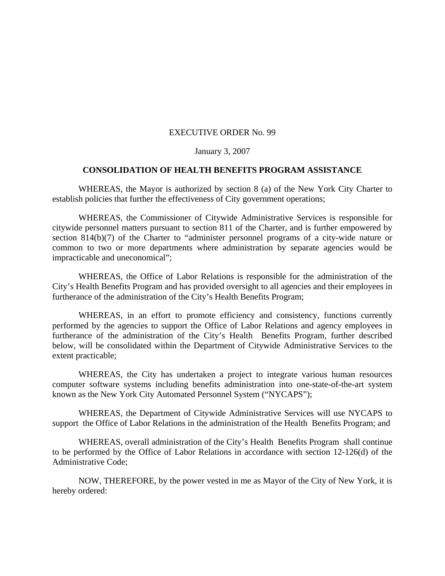## EXECUTIVE ORDER No. 99

## January 3, 2007

## **CONSOLIDATION OF HEALTH BENEFITS PROGRAM ASSISTANCE**

WHEREAS, the Mayor is authorized by section 8 (a) of the New York City Charter to establish policies that further the effectiveness of City government operations;

WHEREAS, the Commissioner of Citywide Administrative Services is responsible for citywide personnel matters pursuant to section 811 of the Charter, and is further empowered by section 814(b)(7) of the Charter to "administer personnel programs of a city-wide nature or common to two or more departments where administration by separate agencies would be impracticable and uneconomical";

WHEREAS, the Office of Labor Relations is responsible for the administration of the City's Health Benefits Program and has provided oversight to all agencies and their employees in furtherance of the administration of the City's Health Benefits Program;

WHEREAS, in an effort to promote efficiency and consistency, functions currently performed by the agencies to support the Office of Labor Relations and agency employees in furtherance of the administration of the City's Health Benefits Program, further described below, will be consolidated within the Department of Citywide Administrative Services to the extent practicable;

WHEREAS, the City has undertaken a project to integrate various human resources computer software systems including benefits administration into one-state-of-the-art system known as the New York City Automated Personnel System ("NYCAPS");

WHEREAS, the Department of Citywide Administrative Services will use NYCAPS to support the Office of Labor Relations in the administration of the Health Benefits Program; and

WHEREAS, overall administration of the City's Health Benefits Program shall continue to be performed by the Office of Labor Relations in accordance with section 12-126(d) of the Administrative Code;

NOW, THEREFORE, by the power vested in me as Mayor of the City of New York, it is hereby ordered: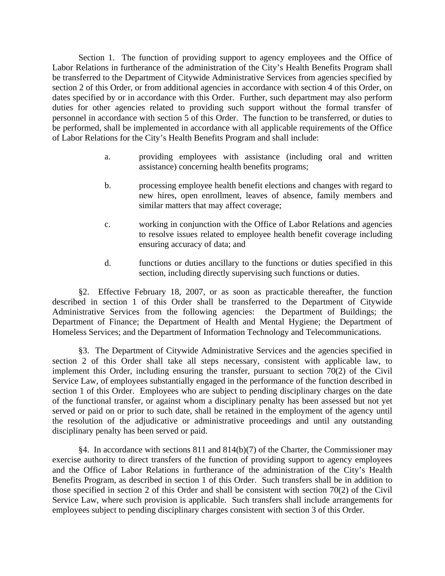Section 1. The function of providing support to agency employees and the Office of Labor Relations in furtherance of the administration of the City's Health Benefits Program shall be transferred to the Department of Citywide Administrative Services from agencies specified by section 2 of this Order, or from additional agencies in accordance with section 4 of this Order, on dates specified by or in accordance with this Order. Further, such department may also perform duties for other agencies related to providing such support without the formal transfer of personnel in accordance with section 5 of this Order. The function to be transferred, or duties to be performed, shall be implemented in accordance with all applicable requirements of the Office of Labor Relations for the City's Health Benefits Program and shall include:

- a. providing employees with assistance (including oral and written assistance) concerning health benefits programs;
- b. processing employee health benefit elections and changes with regard to new hires, open enrollment, leaves of absence, family members and similar matters that may affect coverage;
- c. working in conjunction with the Office of Labor Relations and agencies to resolve issues related to employee health benefit coverage including ensuring accuracy of data; and
- d. functions or duties ancillary to the functions or duties specified in this section, including directly supervising such functions or duties.

§2. Effective February 18, 2007, or as soon as practicable thereafter, the function described in section 1 of this Order shall be transferred to the Department of Citywide Administrative Services from the following agencies: the Department of Buildings; the Department of Finance; the Department of Health and Mental Hygiene; the Department of Homeless Services; and the Department of Information Technology and Telecommunications.

§3. The Department of Citywide Administrative Services and the agencies specified in section 2 of this Order shall take all steps necessary, consistent with applicable law, to implement this Order, including ensuring the transfer, pursuant to section 70(2) of the Civil Service Law, of employees substantially engaged in the performance of the function described in section 1 of this Order. Employees who are subject to pending disciplinary charges on the date of the functional transfer, or against whom a disciplinary penalty has been assessed but not yet served or paid on or prior to such date, shall be retained in the employment of the agency until the resolution of the adjudicative or administrative proceedings and until any outstanding disciplinary penalty has been served or paid.

§4. In accordance with sections 811 and 814(b)(7) of the Charter, the Commissioner may exercise authority to direct transfers of the function of providing support to agency employees and the Office of Labor Relations in furtherance of the administration of the City's Health Benefits Program, as described in section 1 of this Order. Such transfers shall be in addition to those specified in section 2 of this Order and shall be consistent with section 70(2) of the Civil Service Law, where such provision is applicable. Such transfers shall include arrangements for employees subject to pending disciplinary charges consistent with section 3 of this Order.